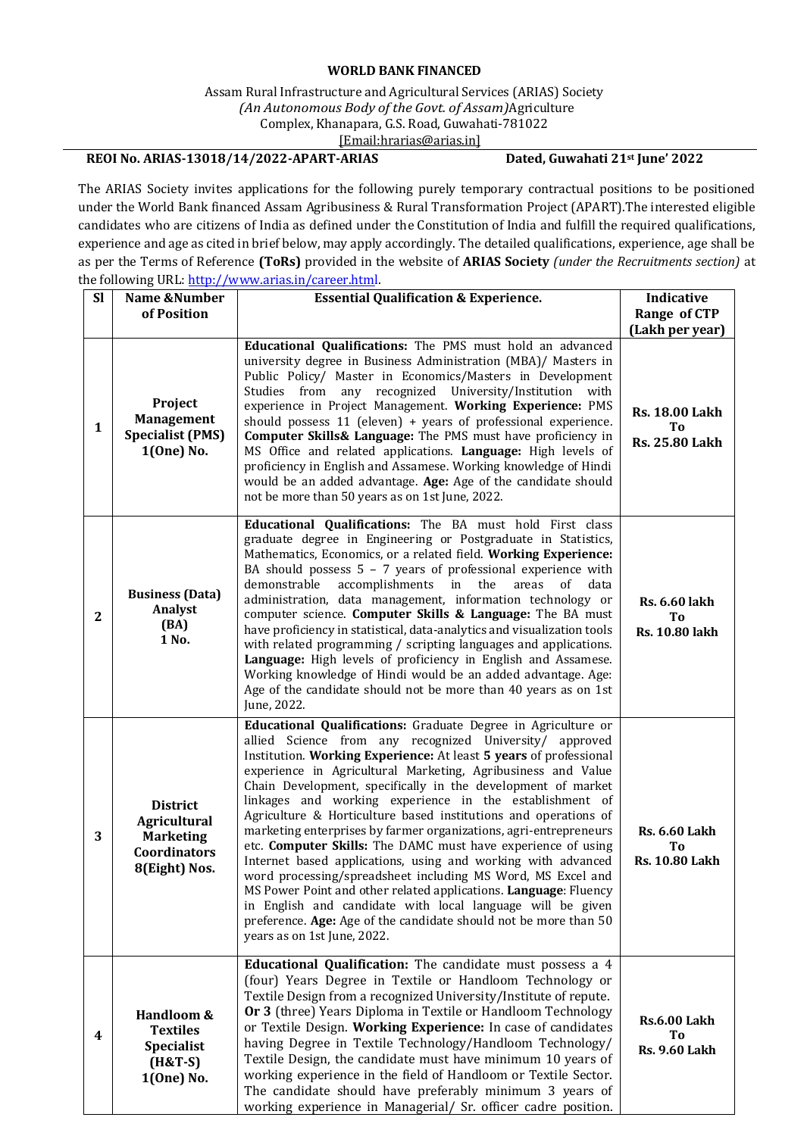## **WORLD BANK FINANCED**

## Assam Rural Infrastructure and Agricultural Services (ARIAS) Society *(An Autonomous Body of the Govt. of Assam)*Agriculture Complex, Khanapara, G.S. Road, Guwahati-781022 [\[Email:hrarias@arias.in\]](mailto:recruitments@arias.in)

## **REOI No. ARIAS-13018/14/2022-APART-ARIAS Dated, Guwahati 21st June' 2022**

The ARIAS Society invites applications for the following purely temporary contractual positions to be positioned under the World Bank financed Assam Agribusiness & Rural Transformation Project (APART).The interested eligible candidates who are citizens of India as defined under the Constitution of India and fulfill the required qualifications, experience and age as cited in brief below, may apply accordingly. The detailed qualifications, experience, age shall be as per the Terms of Reference **(ToRs)** provided in the website of **ARIAS Society** *(under the Recruitments section)* at the following URL: [http://www.arias.in/career.html.](http://www.arias.in/career.html)

| <b>SI</b>        | Name &Number                                                                                       | <b>Essential Qualification &amp; Experience.</b>                                                                                                                                                                                                                                                                                                                                                                                                                                                                                                                                                                                                                                                                                                                                                                                                                                                                                                                     | Indicative                                                              |
|------------------|----------------------------------------------------------------------------------------------------|----------------------------------------------------------------------------------------------------------------------------------------------------------------------------------------------------------------------------------------------------------------------------------------------------------------------------------------------------------------------------------------------------------------------------------------------------------------------------------------------------------------------------------------------------------------------------------------------------------------------------------------------------------------------------------------------------------------------------------------------------------------------------------------------------------------------------------------------------------------------------------------------------------------------------------------------------------------------|-------------------------------------------------------------------------|
|                  | of Position                                                                                        |                                                                                                                                                                                                                                                                                                                                                                                                                                                                                                                                                                                                                                                                                                                                                                                                                                                                                                                                                                      | Range of CTP                                                            |
| $\mathbf{1}$     | Project<br><b>Management</b><br><b>Specialist (PMS)</b><br>1(One) No.                              | Educational Qualifications: The PMS must hold an advanced<br>university degree in Business Administration (MBA)/ Masters in<br>Public Policy/ Master in Economics/Masters in Development<br>Studies from any recognized University/Institution with<br>experience in Project Management. Working Experience: PMS<br>should possess $11$ (eleven) + years of professional experience.<br>Computer Skills& Language: The PMS must have proficiency in<br>MS Office and related applications. Language: High levels of<br>proficiency in English and Assamese. Working knowledge of Hindi<br>would be an added advantage. Age: Age of the candidate should<br>not be more than 50 years as on 1st June, 2022.                                                                                                                                                                                                                                                           | (Lakh per year)<br><b>Rs. 18.00 Lakh</b><br>Тo<br><b>Rs. 25.80 Lakh</b> |
| $\boldsymbol{2}$ | <b>Business (Data)</b><br>Analyst<br>(BA)<br>1 No.                                                 | Educational Qualifications: The BA must hold First class<br>graduate degree in Engineering or Postgraduate in Statistics,<br>Mathematics, Economics, or a related field. Working Experience:<br>BA should possess $5 - 7$ years of professional experience with<br>demonstrable<br>accomplishments in the<br>of<br>areas<br>data<br>administration, data management, information technology or<br>computer science. Computer Skills & Language: The BA must<br>have proficiency in statistical, data-analytics and visualization tools<br>with related programming / scripting languages and applications.<br>Language: High levels of proficiency in English and Assamese.<br>Working knowledge of Hindi would be an added advantage. Age:<br>Age of the candidate should not be more than 40 years as on 1st<br>June, 2022.                                                                                                                                        | <b>Rs. 6.60 lakh</b><br>Тo<br><b>Rs. 10.80 lakh</b>                     |
| 3                | <b>District</b><br><b>Agricultural</b><br><b>Marketing</b><br><b>Coordinators</b><br>8(Eight) Nos. | Educational Qualifications: Graduate Degree in Agriculture or<br>allied Science from any recognized University/ approved<br>Institution. Working Experience: At least 5 years of professional<br>experience in Agricultural Marketing, Agribusiness and Value<br>Chain Development, specifically in the development of market<br>linkages and working experience in the establishment of<br>Agriculture & Horticulture based institutions and operations of<br>marketing enterprises by farmer organizations, agri-entrepreneurs<br>etc. Computer Skills: The DAMC must have experience of using<br>Internet based applications, using and working with advanced<br>word processing/spreadsheet including MS Word, MS Excel and<br>MS Power Point and other related applications. Language: Fluency<br>in English and candidate with local language will be given<br>preference. Age: Age of the candidate should not be more than 50<br>years as on 1st June, 2022. | <b>Rs. 6.60 Lakh</b><br>T <sub>o</sub><br><b>Rs. 10.80 Lakh</b>         |
| 4                | Handloom &<br><b>Textiles</b><br><b>Specialist</b><br>$(H&T-S)$<br>1(One) No.                      | Educational Qualification: The candidate must possess a 4<br>(four) Years Degree in Textile or Handloom Technology or<br>Textile Design from a recognized University/Institute of repute.<br>Or 3 (three) Years Diploma in Textile or Handloom Technology<br>or Textile Design. Working Experience: In case of candidates<br>having Degree in Textile Technology/Handloom Technology/<br>Textile Design, the candidate must have minimum 10 years of<br>working experience in the field of Handloom or Textile Sector.<br>The candidate should have preferably minimum 3 years of<br>working experience in Managerial/ Sr. officer cadre position.                                                                                                                                                                                                                                                                                                                   | <b>Rs.6.00 Lakh</b><br>To<br><b>Rs. 9.60 Lakh</b>                       |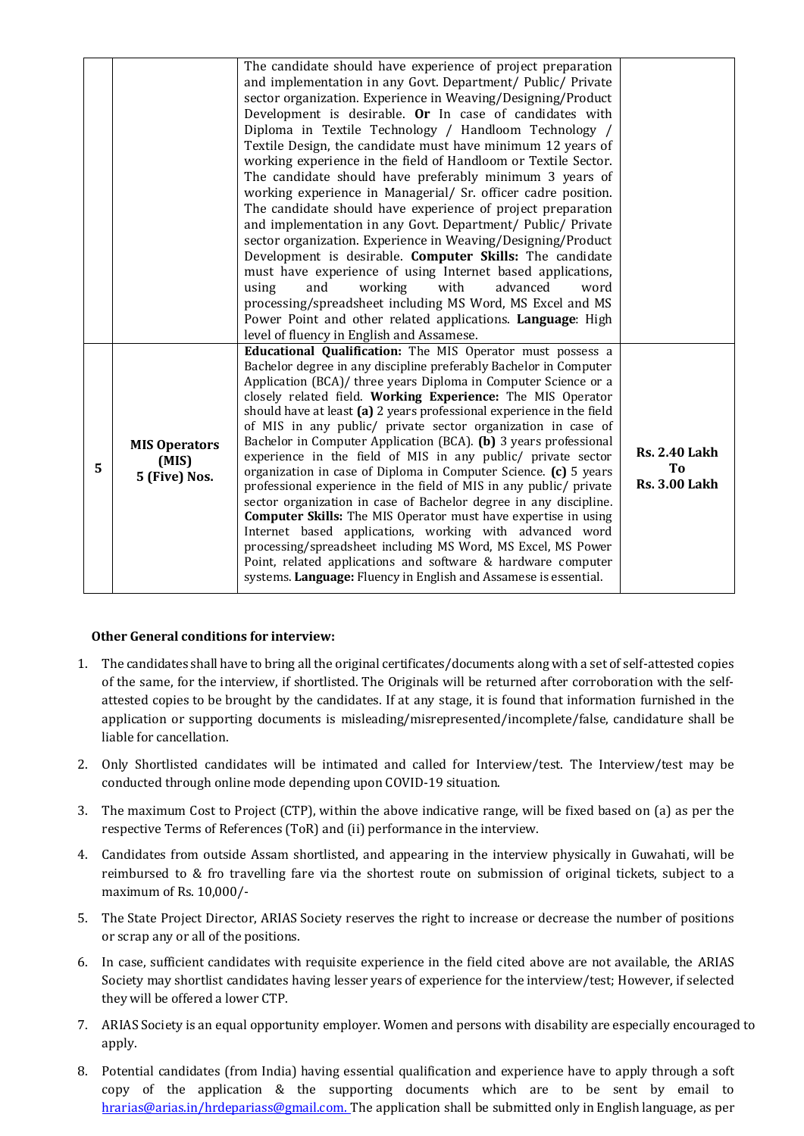|   |                                                | The candidate should have experience of project preparation<br>and implementation in any Govt. Department/ Public/ Private<br>sector organization. Experience in Weaving/Designing/Product<br>Development is desirable. Or In case of candidates with<br>Diploma in Textile Technology / Handloom Technology /<br>Textile Design, the candidate must have minimum 12 years of<br>working experience in the field of Handloom or Textile Sector.<br>The candidate should have preferably minimum 3 years of<br>working experience in Managerial/ Sr. officer cadre position.<br>The candidate should have experience of project preparation<br>and implementation in any Govt. Department/ Public/ Private<br>sector organization. Experience in Weaving/Designing/Product<br>Development is desirable. Computer Skills: The candidate<br>must have experience of using Internet based applications,<br>working<br>with<br>advanced<br>using<br>and<br>word<br>processing/spreadsheet including MS Word, MS Excel and MS<br>Power Point and other related applications. Language: High                                                              |                                                                |
|---|------------------------------------------------|----------------------------------------------------------------------------------------------------------------------------------------------------------------------------------------------------------------------------------------------------------------------------------------------------------------------------------------------------------------------------------------------------------------------------------------------------------------------------------------------------------------------------------------------------------------------------------------------------------------------------------------------------------------------------------------------------------------------------------------------------------------------------------------------------------------------------------------------------------------------------------------------------------------------------------------------------------------------------------------------------------------------------------------------------------------------------------------------------------------------------------------------------|----------------------------------------------------------------|
| 5 | <b>MIS Operators</b><br>(MIS)<br>5 (Five) Nos. | level of fluency in English and Assamese.<br>Educational Qualification: The MIS Operator must possess a<br>Bachelor degree in any discipline preferably Bachelor in Computer<br>Application (BCA)/ three years Diploma in Computer Science or a<br>closely related field. Working Experience: The MIS Operator<br>should have at least (a) 2 years professional experience in the field<br>of MIS in any public/ private sector organization in case of<br>Bachelor in Computer Application (BCA). (b) 3 years professional<br>experience in the field of MIS in any public/ private sector<br>organization in case of Diploma in Computer Science. (c) 5 years<br>professional experience in the field of MIS in any public/ private<br>sector organization in case of Bachelor degree in any discipline.<br><b>Computer Skills:</b> The MIS Operator must have expertise in using<br>Internet based applications, working with advanced word<br>processing/spreadsheet including MS Word, MS Excel, MS Power<br>Point, related applications and software & hardware computer<br>systems. Language: Fluency in English and Assamese is essential. | <b>Rs. 2.40 Lakh</b><br>T <sub>o</sub><br><b>Rs. 3.00 Lakh</b> |

## **Other General conditions for interview:**

- 1. The candidates shall have to bring all the original certificates/documents along with a set of self-attested copies of the same, for the interview, if shortlisted. The Originals will be returned after corroboration with the selfattested copies to be brought by the candidates. If at any stage, it is found that information furnished in the application or supporting documents is misleading/misrepresented/incomplete/false, candidature shall be liable for cancellation.
- 2. Only Shortlisted candidates will be intimated and called for Interview/test. The Interview/test may be conducted through online mode depending upon COVID-19 situation.
- 3. The maximum Cost to Project (CTP), within the above indicative range, will be fixed based on (a) as per the respective Terms of References (ToR) and (ii) performance in the interview.
- 4. Candidates from outside Assam shortlisted, and appearing in the interview physically in Guwahati, will be reimbursed to & fro travelling fare via the shortest route on submission of original tickets, subject to a maximum of Rs. 10,000/-
- 5. The State Project Director, ARIAS Society reserves the right to increase or decrease the number of positions or scrap any or all of the positions.
- 6. In case, sufficient candidates with requisite experience in the field cited above are not available, the ARIAS Society may shortlist candidates having lesser years of experience for the interview/test; However, if selected they will be offered a lower CTP.
- 7. ARIAS Society is an equal opportunity employer. Women and persons with disability are especially encouraged to apply.
- 8. Potential candidates (from India) having essential qualification and experience have to apply through a soft copy of the application & the supporting documents which are to be sent by email to [hrarias@arias.in/hrdepariass@gmail.com. T](mailto:hrarias@arias.in/hrdepariass@gmail.com.)he application shall be submitted only in English language, as per